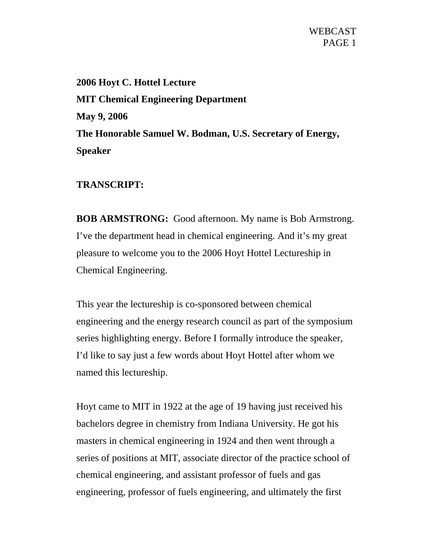**2006 Hoyt C. Hottel Lecture MIT Chemical Engineering Department May 9, 2006 The Honorable Samuel W. Bodman, U.S. Secretary of Energy, Speaker** 

## **TRANSCRIPT:**

**BOB ARMSTRONG:** Good afternoon. My name is Bob Armstrong. I've the department head in chemical engineering. And it's my great pleasure to welcome you to the 2006 Hoyt Hottel Lectureship in Chemical Engineering.

This year the lectureship is co-sponsored between chemical engineering and the energy research council as part of the symposium series highlighting energy. Before I formally introduce the speaker, I'd like to say just a few words about Hoyt Hottel after whom we named this lectureship.

Hoyt came to MIT in 1922 at the age of 19 having just received his bachelors degree in chemistry from Indiana University. He got his masters in chemical engineering in 1924 and then went through a series of positions at MIT, associate director of the practice school of chemical engineering, and assistant professor of fuels and gas engineering, professor of fuels engineering, and ultimately the first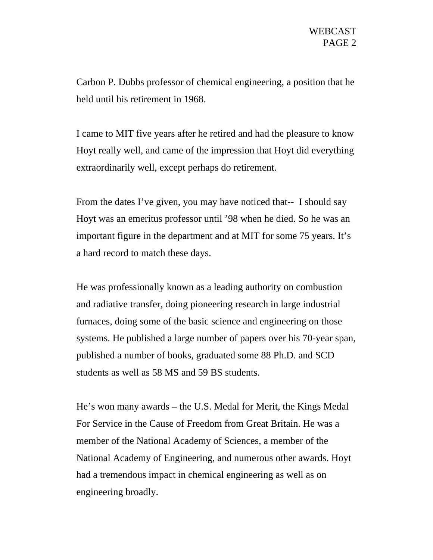Carbon P. Dubbs professor of chemical engineering, a position that he held until his retirement in 1968.

I came to MIT five years after he retired and had the pleasure to know Hoyt really well, and came of the impression that Hoyt did everything extraordinarily well, except perhaps do retirement.

From the dates I've given, you may have noticed that-- I should say Hoyt was an emeritus professor until '98 when he died. So he was an important figure in the department and at MIT for some 75 years. It's a hard record to match these days.

He was professionally known as a leading authority on combustion and radiative transfer, doing pioneering research in large industrial furnaces, doing some of the basic science and engineering on those systems. He published a large number of papers over his 70-year span, published a number of books, graduated some 88 Ph.D. and SCD students as well as 58 MS and 59 BS students.

He's won many awards – the U.S. Medal for Merit, the Kings Medal For Service in the Cause of Freedom from Great Britain. He was a member of the National Academy of Sciences, a member of the National Academy of Engineering, and numerous other awards. Hoyt had a tremendous impact in chemical engineering as well as on engineering broadly.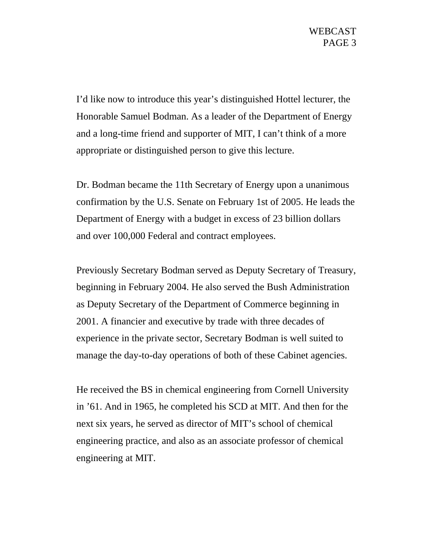I'd like now to introduce this year's distinguished Hottel lecturer, the Honorable Samuel Bodman. As a leader of the Department of Energy and a long-time friend and supporter of MIT, I can't think of a more appropriate or distinguished person to give this lecture.

Dr. Bodman became the 11th Secretary of Energy upon a unanimous confirmation by the U.S. Senate on February 1st of 2005. He leads the Department of Energy with a budget in excess of 23 billion dollars and over 100,000 Federal and contract employees.

Previously Secretary Bodman served as Deputy Secretary of Treasury, beginning in February 2004. He also served the Bush Administration as Deputy Secretary of the Department of Commerce beginning in 2001. A financier and executive by trade with three decades of experience in the private sector, Secretary Bodman is well suited to manage the day-to-day operations of both of these Cabinet agencies.

He received the BS in chemical engineering from Cornell University in '61. And in 1965, he completed his SCD at MIT. And then for the next six years, he served as director of MIT's school of chemical engineering practice, and also as an associate professor of chemical engineering at MIT.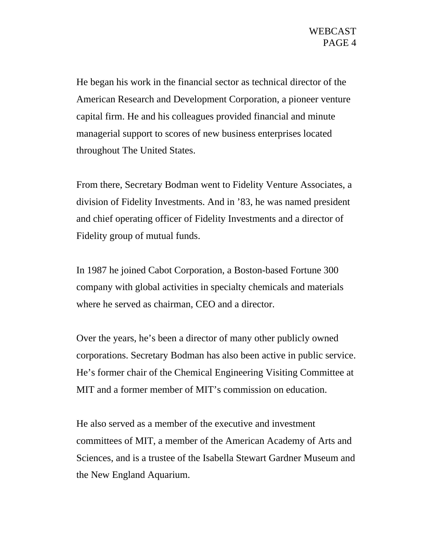He began his work in the financial sector as technical director of the American Research and Development Corporation, a pioneer venture capital firm. He and his colleagues provided financial and minute managerial support to scores of new business enterprises located throughout The United States.

From there, Secretary Bodman went to Fidelity Venture Associates, a division of Fidelity Investments. And in '83, he was named president and chief operating officer of Fidelity Investments and a director of Fidelity group of mutual funds.

In 1987 he joined Cabot Corporation, a Boston-based Fortune 300 company with global activities in specialty chemicals and materials where he served as chairman, CEO and a director.

Over the years, he's been a director of many other publicly owned corporations. Secretary Bodman has also been active in public service. He's former chair of the Chemical Engineering Visiting Committee at MIT and a former member of MIT's commission on education.

He also served as a member of the executive and investment committees of MIT, a member of the American Academy of Arts and Sciences, and is a trustee of the Isabella Stewart Gardner Museum and the New England Aquarium.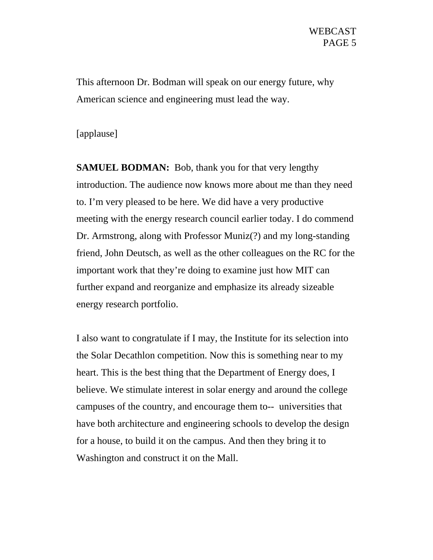This afternoon Dr. Bodman will speak on our energy future, why American science and engineering must lead the way.

## [applause]

**SAMUEL BODMAN:** Bob, thank you for that very lengthy introduction. The audience now knows more about me than they need to. I'm very pleased to be here. We did have a very productive meeting with the energy research council earlier today. I do commend Dr. Armstrong, along with Professor Muniz(?) and my long-standing friend, John Deutsch, as well as the other colleagues on the RC for the important work that they're doing to examine just how MIT can further expand and reorganize and emphasize its already sizeable energy research portfolio.

I also want to congratulate if I may, the Institute for its selection into the Solar Decathlon competition. Now this is something near to my heart. This is the best thing that the Department of Energy does, I believe. We stimulate interest in solar energy and around the college campuses of the country, and encourage them to-- universities that have both architecture and engineering schools to develop the design for a house, to build it on the campus. And then they bring it to Washington and construct it on the Mall.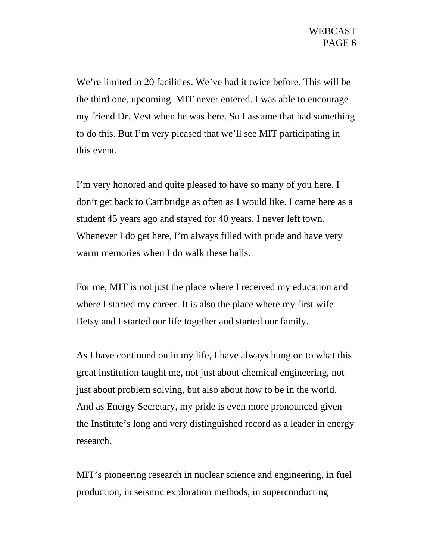We're limited to 20 facilities. We've had it twice before. This will be the third one, upcoming. MIT never entered. I was able to encourage my friend Dr. Vest when he was here. So I assume that had something to do this. But I'm very pleased that we'll see MIT participating in this event.

I'm very honored and quite pleased to have so many of you here. I don't get back to Cambridge as often as I would like. I came here as a student 45 years ago and stayed for 40 years. I never left town. Whenever I do get here, I'm always filled with pride and have very warm memories when I do walk these halls.

For me, MIT is not just the place where I received my education and where I started my career. It is also the place where my first wife Betsy and I started our life together and started our family.

As I have continued on in my life, I have always hung on to what this great institution taught me, not just about chemical engineering, not just about problem solving, but also about how to be in the world. And as Energy Secretary, my pride is even more pronounced given the Institute's long and very distinguished record as a leader in energy research.

MIT's pioneering research in nuclear science and engineering, in fuel production, in seismic exploration methods, in superconducting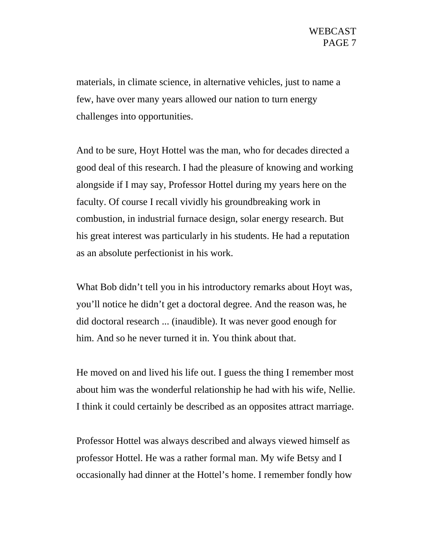materials, in climate science, in alternative vehicles, just to name a few, have over many years allowed our nation to turn energy challenges into opportunities.

And to be sure, Hoyt Hottel was the man, who for decades directed a good deal of this research. I had the pleasure of knowing and working alongside if I may say, Professor Hottel during my years here on the faculty. Of course I recall vividly his groundbreaking work in combustion, in industrial furnace design, solar energy research. But his great interest was particularly in his students. He had a reputation as an absolute perfectionist in his work.

What Bob didn't tell you in his introductory remarks about Hoyt was, you'll notice he didn't get a doctoral degree. And the reason was, he did doctoral research ... (inaudible). It was never good enough for him. And so he never turned it in. You think about that.

He moved on and lived his life out. I guess the thing I remember most about him was the wonderful relationship he had with his wife, Nellie. I think it could certainly be described as an opposites attract marriage.

Professor Hottel was always described and always viewed himself as professor Hottel. He was a rather formal man. My wife Betsy and I occasionally had dinner at the Hottel's home. I remember fondly how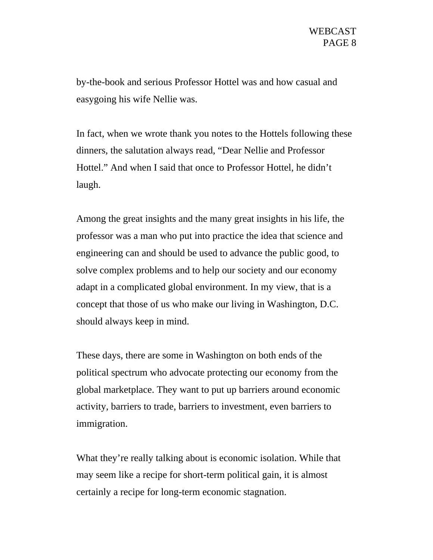by-the-book and serious Professor Hottel was and how casual and easygoing his wife Nellie was.

In fact, when we wrote thank you notes to the Hottels following these dinners, the salutation always read, "Dear Nellie and Professor Hottel." And when I said that once to Professor Hottel, he didn't laugh.

Among the great insights and the many great insights in his life, the professor was a man who put into practice the idea that science and engineering can and should be used to advance the public good, to solve complex problems and to help our society and our economy adapt in a complicated global environment. In my view, that is a concept that those of us who make our living in Washington, D.C. should always keep in mind.

These days, there are some in Washington on both ends of the political spectrum who advocate protecting our economy from the global marketplace. They want to put up barriers around economic activity, barriers to trade, barriers to investment, even barriers to immigration.

What they're really talking about is economic isolation. While that may seem like a recipe for short-term political gain, it is almost certainly a recipe for long-term economic stagnation.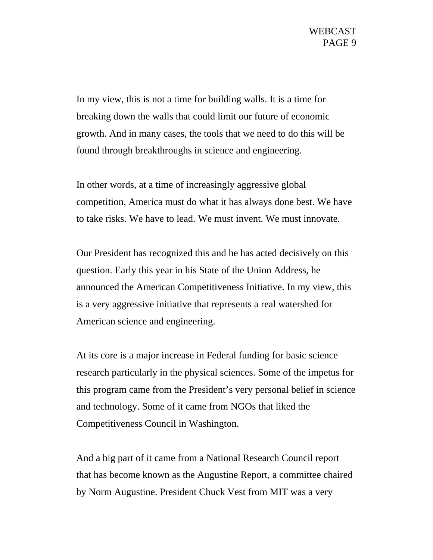In my view, this is not a time for building walls. It is a time for breaking down the walls that could limit our future of economic growth. And in many cases, the tools that we need to do this will be found through breakthroughs in science and engineering.

In other words, at a time of increasingly aggressive global competition, America must do what it has always done best. We have to take risks. We have to lead. We must invent. We must innovate.

Our President has recognized this and he has acted decisively on this question. Early this year in his State of the Union Address, he announced the American Competitiveness Initiative. In my view, this is a very aggressive initiative that represents a real watershed for American science and engineering.

At its core is a major increase in Federal funding for basic science research particularly in the physical sciences. Some of the impetus for this program came from the President's very personal belief in science and technology. Some of it came from NGOs that liked the Competitiveness Council in Washington.

And a big part of it came from a National Research Council report that has become known as the Augustine Report, a committee chaired by Norm Augustine. President Chuck Vest from MIT was a very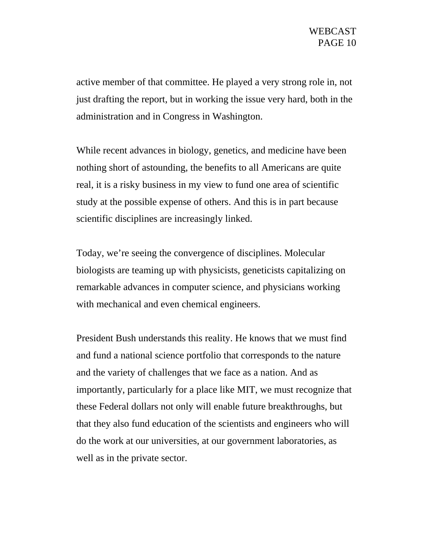active member of that committee. He played a very strong role in, not just drafting the report, but in working the issue very hard, both in the administration and in Congress in Washington.

While recent advances in biology, genetics, and medicine have been nothing short of astounding, the benefits to all Americans are quite real, it is a risky business in my view to fund one area of scientific study at the possible expense of others. And this is in part because scientific disciplines are increasingly linked.

Today, we're seeing the convergence of disciplines. Molecular biologists are teaming up with physicists, geneticists capitalizing on remarkable advances in computer science, and physicians working with mechanical and even chemical engineers.

President Bush understands this reality. He knows that we must find and fund a national science portfolio that corresponds to the nature and the variety of challenges that we face as a nation. And as importantly, particularly for a place like MIT, we must recognize that these Federal dollars not only will enable future breakthroughs, but that they also fund education of the scientists and engineers who will do the work at our universities, at our government laboratories, as well as in the private sector.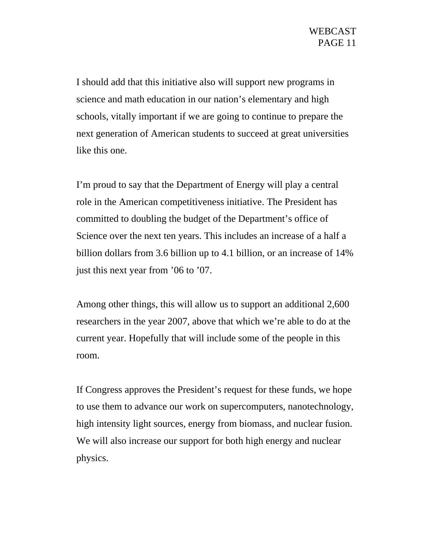I should add that this initiative also will support new programs in science and math education in our nation's elementary and high schools, vitally important if we are going to continue to prepare the next generation of American students to succeed at great universities like this one.

I'm proud to say that the Department of Energy will play a central role in the American competitiveness initiative. The President has committed to doubling the budget of the Department's office of Science over the next ten years. This includes an increase of a half a billion dollars from 3.6 billion up to 4.1 billion, or an increase of 14% just this next year from '06 to '07.

Among other things, this will allow us to support an additional 2,600 researchers in the year 2007, above that which we're able to do at the current year. Hopefully that will include some of the people in this room.

If Congress approves the President's request for these funds, we hope to use them to advance our work on supercomputers, nanotechnology, high intensity light sources, energy from biomass, and nuclear fusion. We will also increase our support for both high energy and nuclear physics.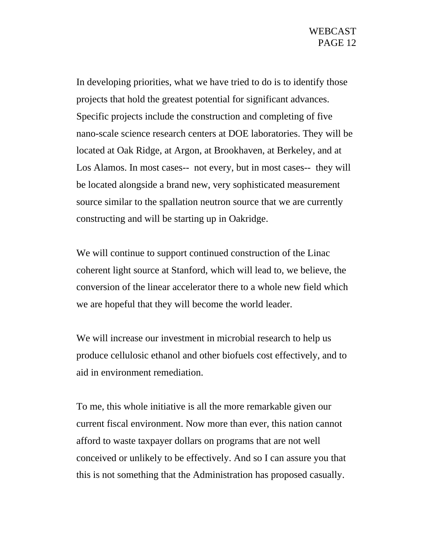In developing priorities, what we have tried to do is to identify those projects that hold the greatest potential for significant advances. Specific projects include the construction and completing of five nano-scale science research centers at DOE laboratories. They will be located at Oak Ridge, at Argon, at Brookhaven, at Berkeley, and at Los Alamos. In most cases-- not every, but in most cases-- they will be located alongside a brand new, very sophisticated measurement source similar to the spallation neutron source that we are currently constructing and will be starting up in Oakridge.

We will continue to support continued construction of the Linac coherent light source at Stanford, which will lead to, we believe, the conversion of the linear accelerator there to a whole new field which we are hopeful that they will become the world leader.

We will increase our investment in microbial research to help us produce cellulosic ethanol and other biofuels cost effectively, and to aid in environment remediation.

To me, this whole initiative is all the more remarkable given our current fiscal environment. Now more than ever, this nation cannot afford to waste taxpayer dollars on programs that are not well conceived or unlikely to be effectively. And so I can assure you that this is not something that the Administration has proposed casually.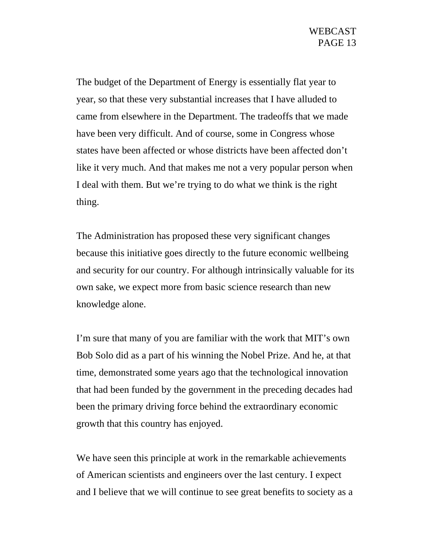The budget of the Department of Energy is essentially flat year to year, so that these very substantial increases that I have alluded to came from elsewhere in the Department. The tradeoffs that we made have been very difficult. And of course, some in Congress whose states have been affected or whose districts have been affected don't like it very much. And that makes me not a very popular person when I deal with them. But we're trying to do what we think is the right thing.

The Administration has proposed these very significant changes because this initiative goes directly to the future economic wellbeing and security for our country. For although intrinsically valuable for its own sake, we expect more from basic science research than new knowledge alone.

I'm sure that many of you are familiar with the work that MIT's own Bob Solo did as a part of his winning the Nobel Prize. And he, at that time, demonstrated some years ago that the technological innovation that had been funded by the government in the preceding decades had been the primary driving force behind the extraordinary economic growth that this country has enjoyed.

We have seen this principle at work in the remarkable achievements of American scientists and engineers over the last century. I expect and I believe that we will continue to see great benefits to society as a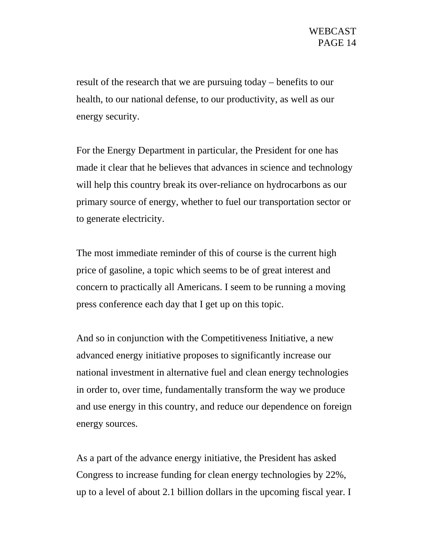result of the research that we are pursuing today – benefits to our health, to our national defense, to our productivity, as well as our energy security.

For the Energy Department in particular, the President for one has made it clear that he believes that advances in science and technology will help this country break its over-reliance on hydrocarbons as our primary source of energy, whether to fuel our transportation sector or to generate electricity.

The most immediate reminder of this of course is the current high price of gasoline, a topic which seems to be of great interest and concern to practically all Americans. I seem to be running a moving press conference each day that I get up on this topic.

And so in conjunction with the Competitiveness Initiative, a new advanced energy initiative proposes to significantly increase our national investment in alternative fuel and clean energy technologies in order to, over time, fundamentally transform the way we produce and use energy in this country, and reduce our dependence on foreign energy sources.

As a part of the advance energy initiative, the President has asked Congress to increase funding for clean energy technologies by 22%, up to a level of about 2.1 billion dollars in the upcoming fiscal year. I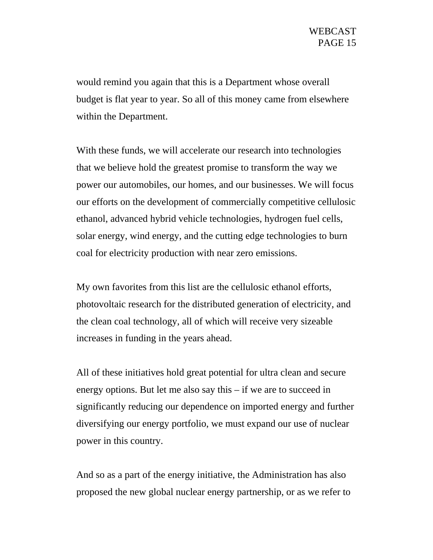would remind you again that this is a Department whose overall budget is flat year to year. So all of this money came from elsewhere within the Department.

With these funds, we will accelerate our research into technologies that we believe hold the greatest promise to transform the way we power our automobiles, our homes, and our businesses. We will focus our efforts on the development of commercially competitive cellulosic ethanol, advanced hybrid vehicle technologies, hydrogen fuel cells, solar energy, wind energy, and the cutting edge technologies to burn coal for electricity production with near zero emissions.

My own favorites from this list are the cellulosic ethanol efforts, photovoltaic research for the distributed generation of electricity, and the clean coal technology, all of which will receive very sizeable increases in funding in the years ahead.

All of these initiatives hold great potential for ultra clean and secure energy options. But let me also say this – if we are to succeed in significantly reducing our dependence on imported energy and further diversifying our energy portfolio, we must expand our use of nuclear power in this country.

And so as a part of the energy initiative, the Administration has also proposed the new global nuclear energy partnership, or as we refer to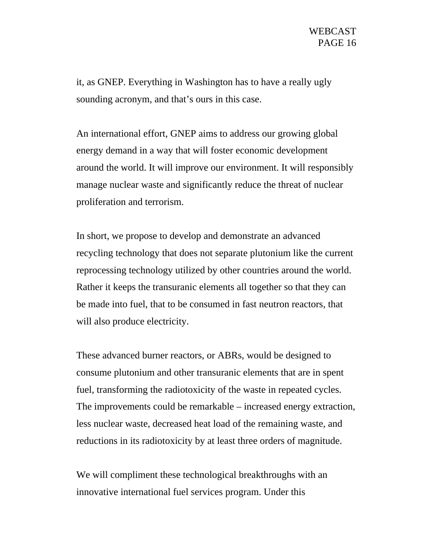it, as GNEP. Everything in Washington has to have a really ugly sounding acronym, and that's ours in this case.

An international effort, GNEP aims to address our growing global energy demand in a way that will foster economic development around the world. It will improve our environment. It will responsibly manage nuclear waste and significantly reduce the threat of nuclear proliferation and terrorism.

In short, we propose to develop and demonstrate an advanced recycling technology that does not separate plutonium like the current reprocessing technology utilized by other countries around the world. Rather it keeps the transuranic elements all together so that they can be made into fuel, that to be consumed in fast neutron reactors, that will also produce electricity.

These advanced burner reactors, or ABRs, would be designed to consume plutonium and other transuranic elements that are in spent fuel, transforming the radiotoxicity of the waste in repeated cycles. The improvements could be remarkable – increased energy extraction, less nuclear waste, decreased heat load of the remaining waste, and reductions in its radiotoxicity by at least three orders of magnitude.

We will compliment these technological breakthroughs with an innovative international fuel services program. Under this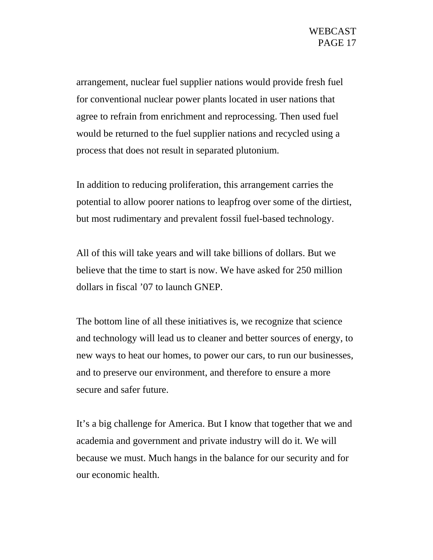arrangement, nuclear fuel supplier nations would provide fresh fuel for conventional nuclear power plants located in user nations that agree to refrain from enrichment and reprocessing. Then used fuel would be returned to the fuel supplier nations and recycled using a process that does not result in separated plutonium.

In addition to reducing proliferation, this arrangement carries the potential to allow poorer nations to leapfrog over some of the dirtiest, but most rudimentary and prevalent fossil fuel-based technology.

All of this will take years and will take billions of dollars. But we believe that the time to start is now. We have asked for 250 million dollars in fiscal '07 to launch GNEP.

The bottom line of all these initiatives is, we recognize that science and technology will lead us to cleaner and better sources of energy, to new ways to heat our homes, to power our cars, to run our businesses, and to preserve our environment, and therefore to ensure a more secure and safer future.

It's a big challenge for America. But I know that together that we and academia and government and private industry will do it. We will because we must. Much hangs in the balance for our security and for our economic health.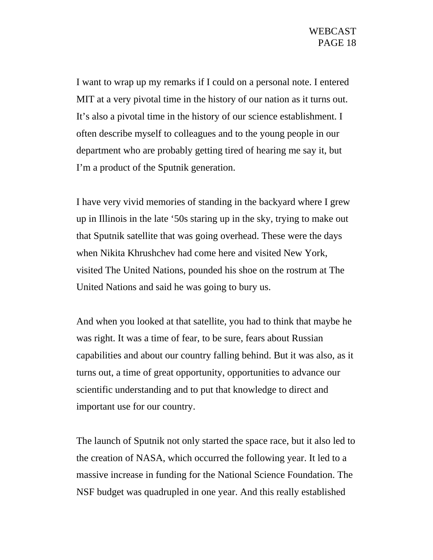I want to wrap up my remarks if I could on a personal note. I entered MIT at a very pivotal time in the history of our nation as it turns out. It's also a pivotal time in the history of our science establishment. I often describe myself to colleagues and to the young people in our department who are probably getting tired of hearing me say it, but I'm a product of the Sputnik generation.

I have very vivid memories of standing in the backyard where I grew up in Illinois in the late '50s staring up in the sky, trying to make out that Sputnik satellite that was going overhead. These were the days when Nikita Khrushchev had come here and visited New York, visited The United Nations, pounded his shoe on the rostrum at The United Nations and said he was going to bury us.

And when you looked at that satellite, you had to think that maybe he was right. It was a time of fear, to be sure, fears about Russian capabilities and about our country falling behind. But it was also, as it turns out, a time of great opportunity, opportunities to advance our scientific understanding and to put that knowledge to direct and important use for our country.

The launch of Sputnik not only started the space race, but it also led to the creation of NASA, which occurred the following year. It led to a massive increase in funding for the National Science Foundation. The NSF budget was quadrupled in one year. And this really established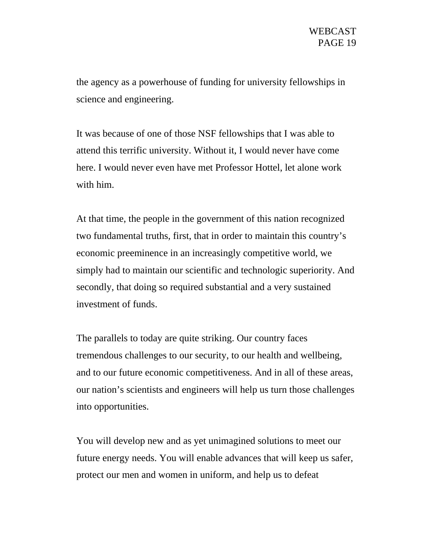the agency as a powerhouse of funding for university fellowships in science and engineering.

It was because of one of those NSF fellowships that I was able to attend this terrific university. Without it, I would never have come here. I would never even have met Professor Hottel, let alone work with him.

At that time, the people in the government of this nation recognized two fundamental truths, first, that in order to maintain this country's economic preeminence in an increasingly competitive world, we simply had to maintain our scientific and technologic superiority. And secondly, that doing so required substantial and a very sustained investment of funds.

The parallels to today are quite striking. Our country faces tremendous challenges to our security, to our health and wellbeing, and to our future economic competitiveness. And in all of these areas, our nation's scientists and engineers will help us turn those challenges into opportunities.

You will develop new and as yet unimagined solutions to meet our future energy needs. You will enable advances that will keep us safer, protect our men and women in uniform, and help us to defeat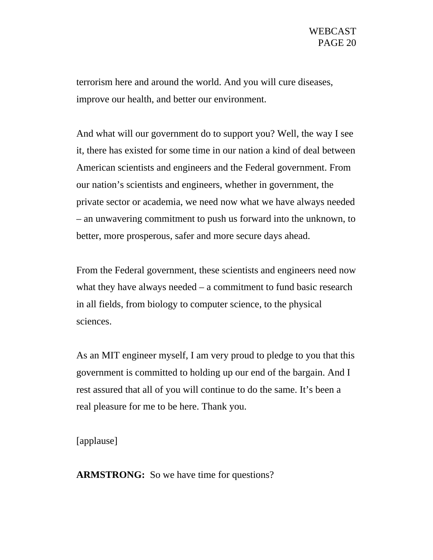terrorism here and around the world. And you will cure diseases, improve our health, and better our environment.

And what will our government do to support you? Well, the way I see it, there has existed for some time in our nation a kind of deal between American scientists and engineers and the Federal government. From our nation's scientists and engineers, whether in government, the private sector or academia, we need now what we have always needed – an unwavering commitment to push us forward into the unknown, to better, more prosperous, safer and more secure days ahead.

From the Federal government, these scientists and engineers need now what they have always needed – a commitment to fund basic research in all fields, from biology to computer science, to the physical sciences.

As an MIT engineer myself, I am very proud to pledge to you that this government is committed to holding up our end of the bargain. And I rest assured that all of you will continue to do the same. It's been a real pleasure for me to be here. Thank you.

[applause]

**ARMSTRONG:** So we have time for questions?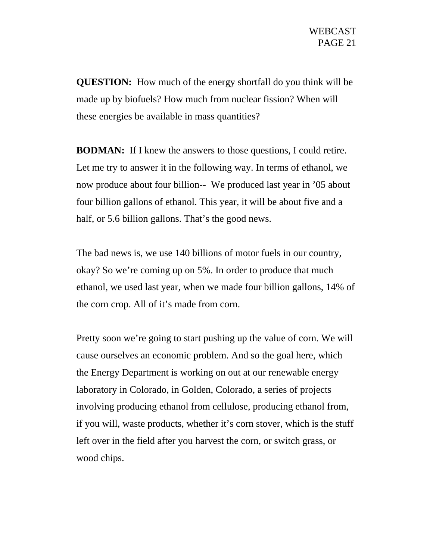**QUESTION:** How much of the energy shortfall do you think will be made up by biofuels? How much from nuclear fission? When will these energies be available in mass quantities?

**BODMAN:** If I knew the answers to those questions, I could retire. Let me try to answer it in the following way. In terms of ethanol, we now produce about four billion-- We produced last year in '05 about four billion gallons of ethanol. This year, it will be about five and a half, or 5.6 billion gallons. That's the good news.

The bad news is, we use 140 billions of motor fuels in our country, okay? So we're coming up on 5%. In order to produce that much ethanol, we used last year, when we made four billion gallons, 14% of the corn crop. All of it's made from corn.

Pretty soon we're going to start pushing up the value of corn. We will cause ourselves an economic problem. And so the goal here, which the Energy Department is working on out at our renewable energy laboratory in Colorado, in Golden, Colorado, a series of projects involving producing ethanol from cellulose, producing ethanol from, if you will, waste products, whether it's corn stover, which is the stuff left over in the field after you harvest the corn, or switch grass, or wood chips.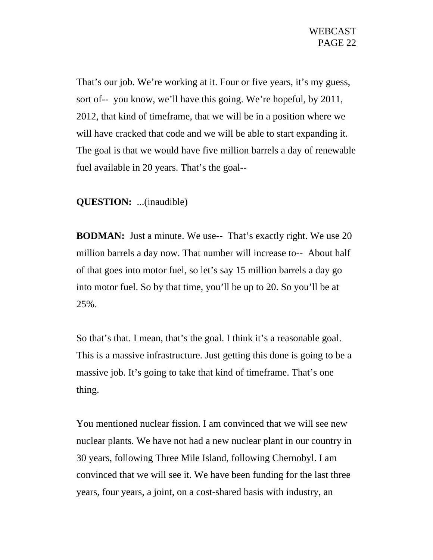That's our job. We're working at it. Four or five years, it's my guess, sort of-- you know, we'll have this going. We're hopeful, by 2011, 2012, that kind of timeframe, that we will be in a position where we will have cracked that code and we will be able to start expanding it. The goal is that we would have five million barrels a day of renewable fuel available in 20 years. That's the goal--

## **QUESTION:** ...(inaudible)

**BODMAN:** Just a minute. We use-- That's exactly right. We use 20 million barrels a day now. That number will increase to-- About half of that goes into motor fuel, so let's say 15 million barrels a day go into motor fuel. So by that time, you'll be up to 20. So you'll be at 25%.

So that's that. I mean, that's the goal. I think it's a reasonable goal. This is a massive infrastructure. Just getting this done is going to be a massive job. It's going to take that kind of timeframe. That's one thing.

You mentioned nuclear fission. I am convinced that we will see new nuclear plants. We have not had a new nuclear plant in our country in 30 years, following Three Mile Island, following Chernobyl. I am convinced that we will see it. We have been funding for the last three years, four years, a joint, on a cost-shared basis with industry, an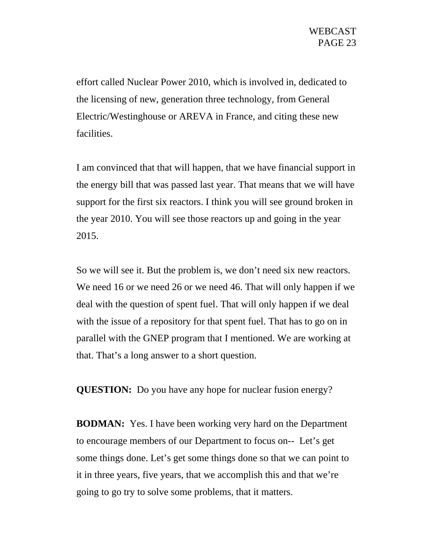effort called Nuclear Power 2010, which is involved in, dedicated to the licensing of new, generation three technology, from General Electric/Westinghouse or AREVA in France, and citing these new facilities.

I am convinced that that will happen, that we have financial support in the energy bill that was passed last year. That means that we will have support for the first six reactors. I think you will see ground broken in the year 2010. You will see those reactors up and going in the year 2015.

So we will see it. But the problem is, we don't need six new reactors. We need 16 or we need 26 or we need 46. That will only happen if we deal with the question of spent fuel. That will only happen if we deal with the issue of a repository for that spent fuel. That has to go on in parallel with the GNEP program that I mentioned. We are working at that. That's a long answer to a short question.

**QUESTION:** Do you have any hope for nuclear fusion energy?

**BODMAN:** Yes. I have been working very hard on the Department to encourage members of our Department to focus on-- Let's get some things done. Let's get some things done so that we can point to it in three years, five years, that we accomplish this and that we're going to go try to solve some problems, that it matters.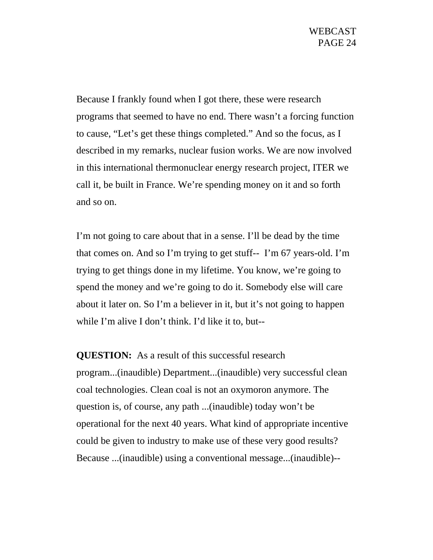Because I frankly found when I got there, these were research programs that seemed to have no end. There wasn't a forcing function to cause, "Let's get these things completed." And so the focus, as I described in my remarks, nuclear fusion works. We are now involved in this international thermonuclear energy research project, ITER we call it, be built in France. We're spending money on it and so forth and so on.

I'm not going to care about that in a sense. I'll be dead by the time that comes on. And so I'm trying to get stuff-- I'm 67 years-old. I'm trying to get things done in my lifetime. You know, we're going to spend the money and we're going to do it. Somebody else will care about it later on. So I'm a believer in it, but it's not going to happen while I'm alive I don't think. I'd like it to, but--

**QUESTION:** As a result of this successful research program...(inaudible) Department...(inaudible) very successful clean coal technologies. Clean coal is not an oxymoron anymore. The question is, of course, any path ...(inaudible) today won't be operational for the next 40 years. What kind of appropriate incentive could be given to industry to make use of these very good results? Because ...(inaudible) using a conventional message...(inaudible)--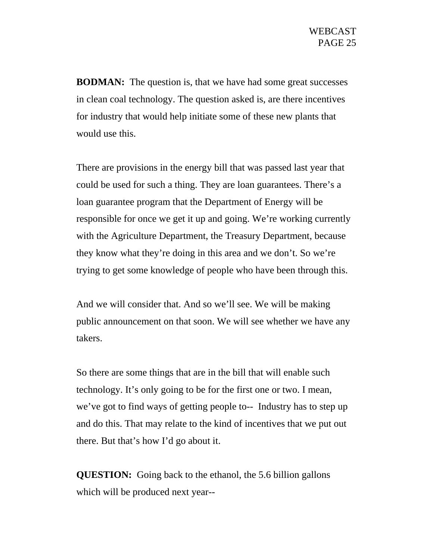**BODMAN:** The question is, that we have had some great successes in clean coal technology. The question asked is, are there incentives for industry that would help initiate some of these new plants that would use this.

There are provisions in the energy bill that was passed last year that could be used for such a thing. They are loan guarantees. There's a loan guarantee program that the Department of Energy will be responsible for once we get it up and going. We're working currently with the Agriculture Department, the Treasury Department, because they know what they're doing in this area and we don't. So we're trying to get some knowledge of people who have been through this.

And we will consider that. And so we'll see. We will be making public announcement on that soon. We will see whether we have any takers.

So there are some things that are in the bill that will enable such technology. It's only going to be for the first one or two. I mean, we've got to find ways of getting people to-- Industry has to step up and do this. That may relate to the kind of incentives that we put out there. But that's how I'd go about it.

**QUESTION:** Going back to the ethanol, the 5.6 billion gallons which will be produced next year--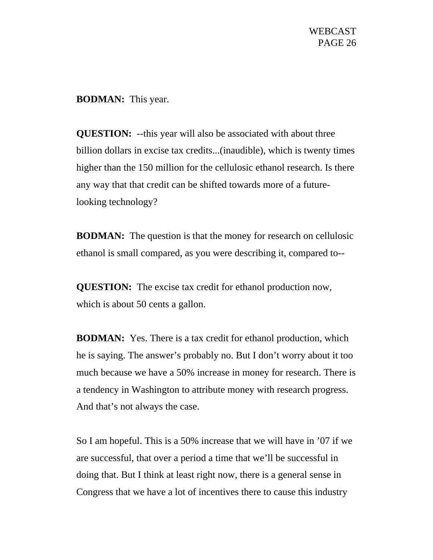**BODMAN:** This year.

**QUESTION:** --this year will also be associated with about three billion dollars in excise tax credits...(inaudible), which is twenty times higher than the 150 million for the cellulosic ethanol research. Is there any way that that credit can be shifted towards more of a futurelooking technology?

**BODMAN:** The question is that the money for research on cellulosic ethanol is small compared, as you were describing it, compared to--

**QUESTION:** The excise tax credit for ethanol production now, which is about 50 cents a gallon.

**BODMAN:** Yes. There is a tax credit for ethanol production, which he is saying. The answer's probably no. But I don't worry about it too much because we have a 50% increase in money for research. There is a tendency in Washington to attribute money with research progress. And that's not always the case.

So I am hopeful. This is a 50% increase that we will have in '07 if we are successful, that over a period a time that we'll be successful in doing that. But I think at least right now, there is a general sense in Congress that we have a lot of incentives there to cause this industry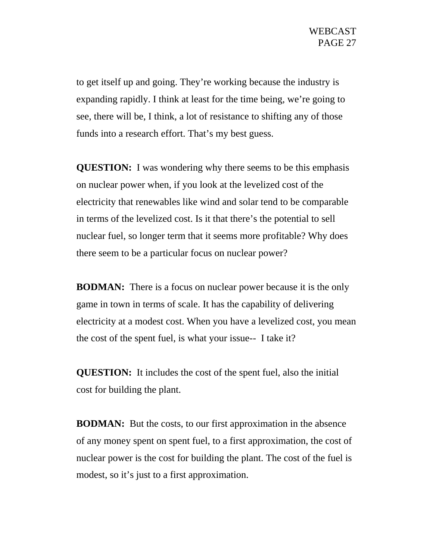to get itself up and going. They're working because the industry is expanding rapidly. I think at least for the time being, we're going to see, there will be, I think, a lot of resistance to shifting any of those funds into a research effort. That's my best guess.

**QUESTION:** I was wondering why there seems to be this emphasis on nuclear power when, if you look at the levelized cost of the electricity that renewables like wind and solar tend to be comparable in terms of the levelized cost. Is it that there's the potential to sell nuclear fuel, so longer term that it seems more profitable? Why does there seem to be a particular focus on nuclear power?

**BODMAN:** There is a focus on nuclear power because it is the only game in town in terms of scale. It has the capability of delivering electricity at a modest cost. When you have a levelized cost, you mean the cost of the spent fuel, is what your issue-- I take it?

**QUESTION:** It includes the cost of the spent fuel, also the initial cost for building the plant.

**BODMAN:** But the costs, to our first approximation in the absence of any money spent on spent fuel, to a first approximation, the cost of nuclear power is the cost for building the plant. The cost of the fuel is modest, so it's just to a first approximation.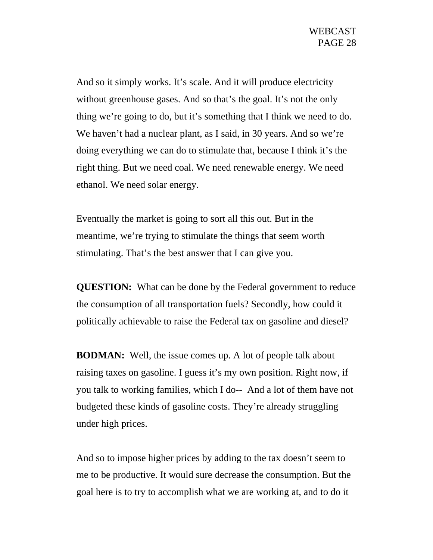And so it simply works. It's scale. And it will produce electricity without greenhouse gases. And so that's the goal. It's not the only thing we're going to do, but it's something that I think we need to do. We haven't had a nuclear plant, as I said, in 30 years. And so we're doing everything we can do to stimulate that, because I think it's the right thing. But we need coal. We need renewable energy. We need ethanol. We need solar energy.

Eventually the market is going to sort all this out. But in the meantime, we're trying to stimulate the things that seem worth stimulating. That's the best answer that I can give you.

**QUESTION:** What can be done by the Federal government to reduce the consumption of all transportation fuels? Secondly, how could it politically achievable to raise the Federal tax on gasoline and diesel?

**BODMAN:** Well, the issue comes up. A lot of people talk about raising taxes on gasoline. I guess it's my own position. Right now, if you talk to working families, which I do-- And a lot of them have not budgeted these kinds of gasoline costs. They're already struggling under high prices.

And so to impose higher prices by adding to the tax doesn't seem to me to be productive. It would sure decrease the consumption. But the goal here is to try to accomplish what we are working at, and to do it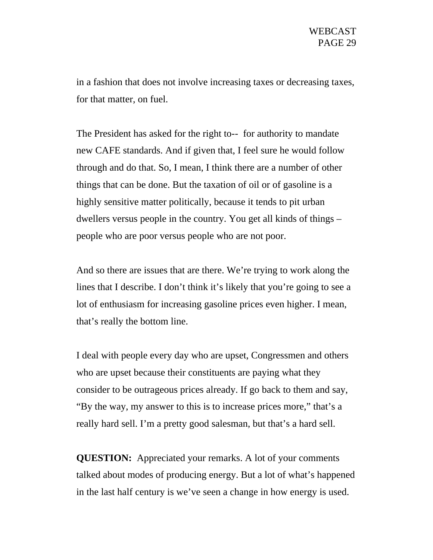in a fashion that does not involve increasing taxes or decreasing taxes, for that matter, on fuel.

The President has asked for the right to-- for authority to mandate new CAFE standards. And if given that, I feel sure he would follow through and do that. So, I mean, I think there are a number of other things that can be done. But the taxation of oil or of gasoline is a highly sensitive matter politically, because it tends to pit urban dwellers versus people in the country. You get all kinds of things – people who are poor versus people who are not poor.

And so there are issues that are there. We're trying to work along the lines that I describe. I don't think it's likely that you're going to see a lot of enthusiasm for increasing gasoline prices even higher. I mean, that's really the bottom line.

I deal with people every day who are upset, Congressmen and others who are upset because their constituents are paying what they consider to be outrageous prices already. If go back to them and say, "By the way, my answer to this is to increase prices more," that's a really hard sell. I'm a pretty good salesman, but that's a hard sell.

**QUESTION:** Appreciated your remarks. A lot of your comments talked about modes of producing energy. But a lot of what's happened in the last half century is we've seen a change in how energy is used.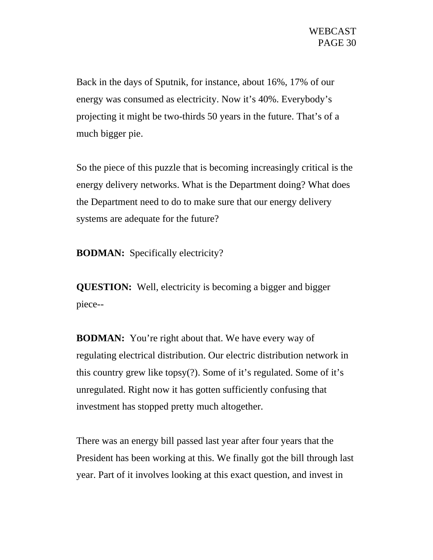Back in the days of Sputnik, for instance, about 16%, 17% of our energy was consumed as electricity. Now it's 40%. Everybody's projecting it might be two-thirds 50 years in the future. That's of a much bigger pie.

So the piece of this puzzle that is becoming increasingly critical is the energy delivery networks. What is the Department doing? What does the Department need to do to make sure that our energy delivery systems are adequate for the future?

**BODMAN:** Specifically electricity?

**QUESTION:** Well, electricity is becoming a bigger and bigger piece--

**BODMAN:** You're right about that. We have every way of regulating electrical distribution. Our electric distribution network in this country grew like topsy(?). Some of it's regulated. Some of it's unregulated. Right now it has gotten sufficiently confusing that investment has stopped pretty much altogether.

There was an energy bill passed last year after four years that the President has been working at this. We finally got the bill through last year. Part of it involves looking at this exact question, and invest in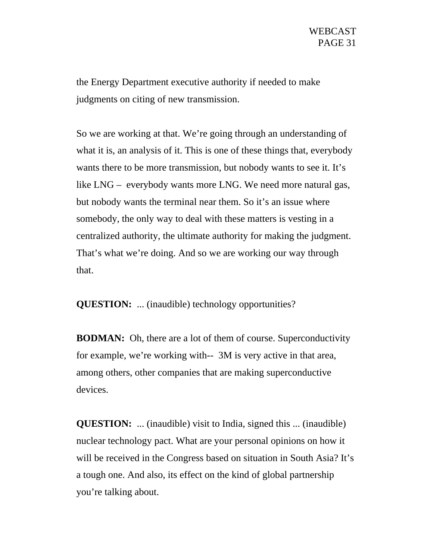the Energy Department executive authority if needed to make judgments on citing of new transmission.

So we are working at that. We're going through an understanding of what it is, an analysis of it. This is one of these things that, everybody wants there to be more transmission, but nobody wants to see it. It's like LNG – everybody wants more LNG. We need more natural gas, but nobody wants the terminal near them. So it's an issue where somebody, the only way to deal with these matters is vesting in a centralized authority, the ultimate authority for making the judgment. That's what we're doing. And so we are working our way through that.

**QUESTION:** ... (inaudible) technology opportunities?

**BODMAN:** Oh, there are a lot of them of course. Superconductivity for example, we're working with-- 3M is very active in that area, among others, other companies that are making superconductive devices.

**QUESTION:** ... (inaudible) visit to India, signed this ... (inaudible) nuclear technology pact. What are your personal opinions on how it will be received in the Congress based on situation in South Asia? It's a tough one. And also, its effect on the kind of global partnership you're talking about.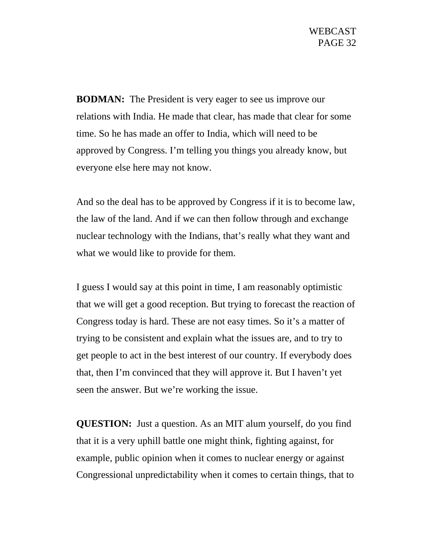**BODMAN:** The President is very eager to see us improve our relations with India. He made that clear, has made that clear for some time. So he has made an offer to India, which will need to be approved by Congress. I'm telling you things you already know, but everyone else here may not know.

And so the deal has to be approved by Congress if it is to become law, the law of the land. And if we can then follow through and exchange nuclear technology with the Indians, that's really what they want and what we would like to provide for them.

I guess I would say at this point in time, I am reasonably optimistic that we will get a good reception. But trying to forecast the reaction of Congress today is hard. These are not easy times. So it's a matter of trying to be consistent and explain what the issues are, and to try to get people to act in the best interest of our country. If everybody does that, then I'm convinced that they will approve it. But I haven't yet seen the answer. But we're working the issue.

**QUESTION:** Just a question. As an MIT alum yourself, do you find that it is a very uphill battle one might think, fighting against, for example, public opinion when it comes to nuclear energy or against Congressional unpredictability when it comes to certain things, that to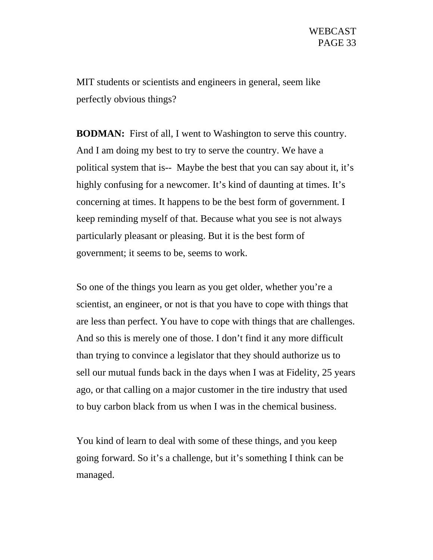MIT students or scientists and engineers in general, seem like perfectly obvious things?

**BODMAN:** First of all, I went to Washington to serve this country. And I am doing my best to try to serve the country. We have a political system that is-- Maybe the best that you can say about it, it's highly confusing for a newcomer. It's kind of daunting at times. It's concerning at times. It happens to be the best form of government. I keep reminding myself of that. Because what you see is not always particularly pleasant or pleasing. But it is the best form of government; it seems to be, seems to work.

So one of the things you learn as you get older, whether you're a scientist, an engineer, or not is that you have to cope with things that are less than perfect. You have to cope with things that are challenges. And so this is merely one of those. I don't find it any more difficult than trying to convince a legislator that they should authorize us to sell our mutual funds back in the days when I was at Fidelity, 25 years ago, or that calling on a major customer in the tire industry that used to buy carbon black from us when I was in the chemical business.

You kind of learn to deal with some of these things, and you keep going forward. So it's a challenge, but it's something I think can be managed.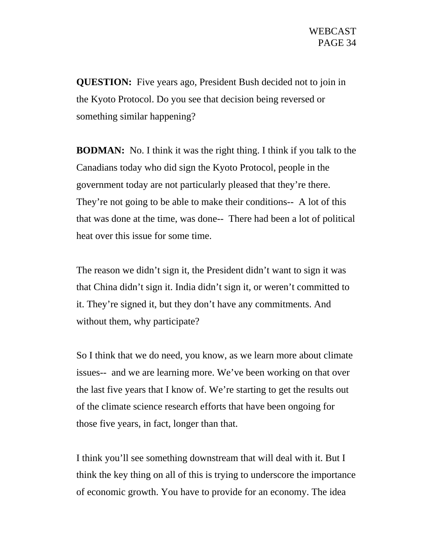**QUESTION:** Five years ago, President Bush decided not to join in the Kyoto Protocol. Do you see that decision being reversed or something similar happening?

**BODMAN:** No. I think it was the right thing. I think if you talk to the Canadians today who did sign the Kyoto Protocol, people in the government today are not particularly pleased that they're there. They're not going to be able to make their conditions-- A lot of this that was done at the time, was done-- There had been a lot of political heat over this issue for some time.

The reason we didn't sign it, the President didn't want to sign it was that China didn't sign it. India didn't sign it, or weren't committed to it. They're signed it, but they don't have any commitments. And without them, why participate?

So I think that we do need, you know, as we learn more about climate issues-- and we are learning more. We've been working on that over the last five years that I know of. We're starting to get the results out of the climate science research efforts that have been ongoing for those five years, in fact, longer than that.

I think you'll see something downstream that will deal with it. But I think the key thing on all of this is trying to underscore the importance of economic growth. You have to provide for an economy. The idea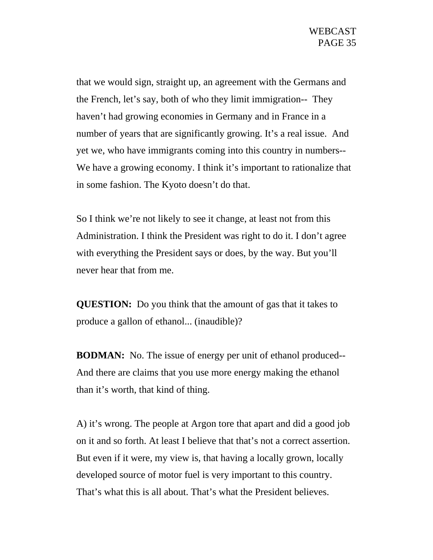that we would sign, straight up, an agreement with the Germans and the French, let's say, both of who they limit immigration-- They haven't had growing economies in Germany and in France in a number of years that are significantly growing. It's a real issue. And yet we, who have immigrants coming into this country in numbers-- We have a growing economy. I think it's important to rationalize that in some fashion. The Kyoto doesn't do that.

So I think we're not likely to see it change, at least not from this Administration. I think the President was right to do it. I don't agree with everything the President says or does, by the way. But you'll never hear that from me.

**QUESTION:** Do you think that the amount of gas that it takes to produce a gallon of ethanol... (inaudible)?

**BODMAN:** No. The issue of energy per unit of ethanol produced-- And there are claims that you use more energy making the ethanol than it's worth, that kind of thing.

A) it's wrong. The people at Argon tore that apart and did a good job on it and so forth. At least I believe that that's not a correct assertion. But even if it were, my view is, that having a locally grown, locally developed source of motor fuel is very important to this country. That's what this is all about. That's what the President believes.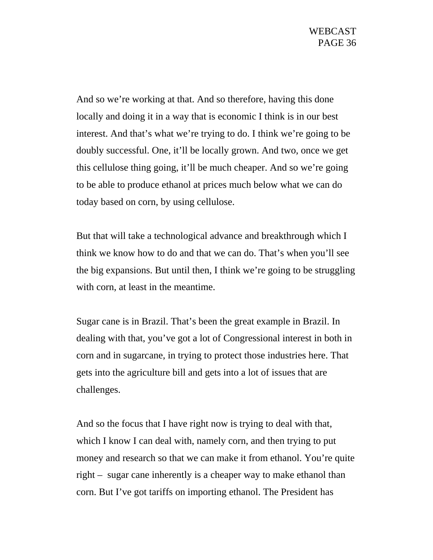And so we're working at that. And so therefore, having this done locally and doing it in a way that is economic I think is in our best interest. And that's what we're trying to do. I think we're going to be doubly successful. One, it'll be locally grown. And two, once we get this cellulose thing going, it'll be much cheaper. And so we're going to be able to produce ethanol at prices much below what we can do today based on corn, by using cellulose.

But that will take a technological advance and breakthrough which I think we know how to do and that we can do. That's when you'll see the big expansions. But until then, I think we're going to be struggling with corn, at least in the meantime.

Sugar cane is in Brazil. That's been the great example in Brazil. In dealing with that, you've got a lot of Congressional interest in both in corn and in sugarcane, in trying to protect those industries here. That gets into the agriculture bill and gets into a lot of issues that are challenges.

And so the focus that I have right now is trying to deal with that, which I know I can deal with, namely corn, and then trying to put money and research so that we can make it from ethanol. You're quite right – sugar cane inherently is a cheaper way to make ethanol than corn. But I've got tariffs on importing ethanol. The President has